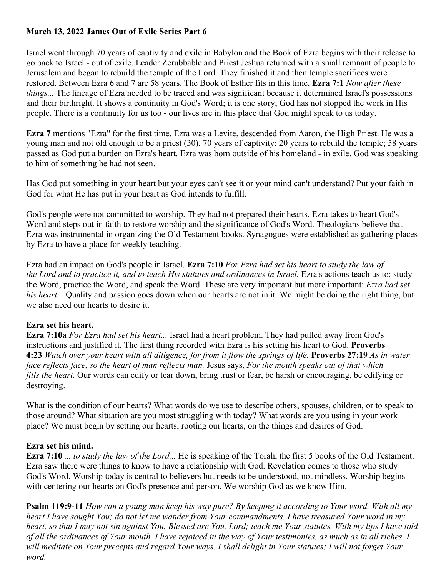## **March 13, 2022 James Out of Exile Series Part 6**

Israel went through 70 years of captivity and exile in Babylon and the Book of Ezra begins with their release to go back to Israel - out of exile. Leader Zerubbable and Priest Jeshua returned with a small remnant of people to Jerusalem and began to rebuild the temple of the Lord. They finished it and then temple sacrifices were restored. Between Ezra 6 and 7 are 58 years. The Book of Esther fits in this time. **Ezra 7:1** *Now after these things...* The lineage of Ezra needed to be traced and was significant because it determined Israel's possessions and their birthright. It shows a continuity in God's Word; it is one story; God has not stopped the work in His people. There is a continuity for us too - our lives are in this place that God might speak to us today.

**Ezra 7** mentions "Ezra" for the first time. Ezra was a Levite, descended from Aaron, the High Priest. He was a young man and not old enough to be a priest (30). 70 years of captivity; 20 years to rebuild the temple; 58 years passed as God put a burden on Ezra's heart. Ezra was born outside of his homeland - in exile. God was speaking to him of something he had not seen.

Has God put something in your heart but your eyes can't see it or your mind can't understand? Put your faith in God for what He has put in your heart as God intends to fulfill.

God's people were not committed to worship. They had not prepared their hearts. Ezra takes to heart God's Word and steps out in faith to restore worship and the significance of God's Word. Theologians believe that Ezra was instrumental in organizing the Old Testament books. Synagogues were established as gathering places by Ezra to have a place for weekly teaching.

Ezra had an impact on God's people in Israel. **Ezra 7:10** *For Ezra had set his heart to study the law of the Lord and to practice it, and to teach His statutes and ordinances in Israel.* Ezra's actions teach us to: study the Word, practice the Word, and speak the Word. These are very important but more important: *Ezra had set his heart...* Quality and passion goes down when our hearts are not in it. We might be doing the right thing, but we also need our hearts to desire it.

### **Ezra set his heart.**

**Ezra 7:10a** *For Ezra had set his heart...* Israel had a heart problem. They had pulled away from God's instructions and justified it. The first thing recorded with Ezra is his setting his heart to God. **Proverbs 4:23** *Watch over your heart with all diligence, for from it flow the springs of life.* **Proverbs 27:19** *As in water face reflects face, so the heart of man reflects man.* Jesus says, *For the mouth speaks out of that which fills the heart*. Our words can edify or tear down, bring trust or fear, be harsh or encouraging, be edifying or destroying.

What is the condition of our hearts? What words do we use to describe others, spouses, children, or to speak to those around? What situation are you most struggling with today? What words are you using in your work place? We must begin by setting our hearts, rooting our hearts, on the things and desires of God.

### **Ezra set his mind.**

**Ezra 7:10** *... to study the law of the Lord...* He is speaking of the Torah, the first 5 books of the Old Testament. Ezra saw there were things to know to have a relationship with God. Revelation comes to those who study God's Word. Worship today is central to believers but needs to be understood, not mindless. Worship begins with centering our hearts on God's presence and person. We worship God as we know Him.

**Psalm 119:9-11** *How can a young man keep his way pure? By keeping it according to Your word. With all my heart I have sought You; do not let me wander from Your commandments. I have treasured Your word in my heart, so that I may not sin against You. Blessed are You, Lord; teach me Your statutes. With my lips I have told of all the ordinances of Your mouth. I have rejoiced in the way of Your testimonies, as much as in all riches. I will meditate on Your precepts and regard Your ways. I shall delight in Your statutes; I will not forget Your word.*